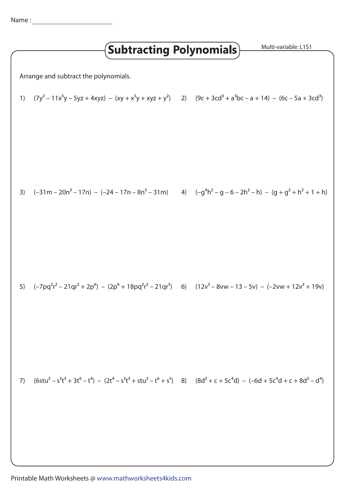